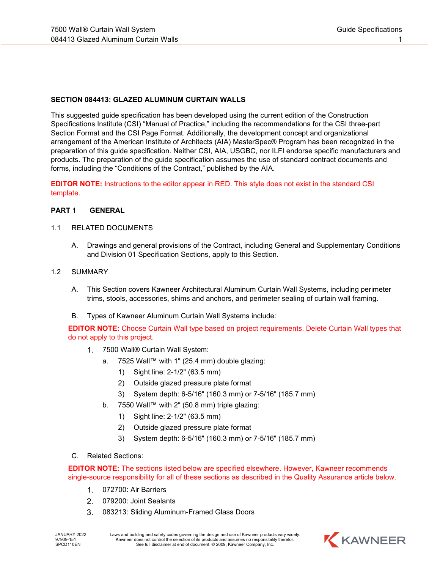#### **SECTION 084413: GLAZED ALUMINUM CURTAIN WALLS**

This suggested guide specification has been developed using the current edition of the Construction Specifications Institute (CSI) "Manual of Practice," including the recommendations for the CSI three-part Section Format and the CSI Page Format. Additionally, the development concept and organizational arrangement of the American Institute of Architects (AIA) MasterSpec® Program has been recognized in the preparation of this guide specification. Neither CSI, AIA, USGBC, nor ILFI endorse specific manufacturers and products. The preparation of the guide specification assumes the use of standard contract documents and forms, including the "Conditions of the Contract," published by the AIA.

**EDITOR NOTE:** Instructions to the editor appear in RED. This style does not exist in the standard CSI template.

#### **PART 1 GENERAL**

#### 1.1 RELATED DOCUMENTS

A. Drawings and general provisions of the Contract, including General and Supplementary Conditions and Division 01 Specification Sections, apply to this Section.

#### 1.2 SUMMARY

- A. This Section covers Kawneer Architectural Aluminum Curtain Wall Systems, including perimeter trims, stools, accessories, shims and anchors, and perimeter sealing of curtain wall framing.
- B. Types of Kawneer Aluminum Curtain Wall Systems include:

 **EDITOR NOTE:** Choose Curtain Wall type based on project requirements. Delete Curtain Wall types that do not apply to this project.

- 7500 Wall® Curtain Wall System:
	- a. 7525 Wall™ with 1" (25.4 mm) double glazing:
		- 1) Sight line: 2-1/2" (63.5 mm)
		- 2) Outside glazed pressure plate format
		- 3) System depth: 6-5/16" (160.3 mm) or 7-5/16" (185.7 mm)
	- b. 7550 Wall™ with 2" (50.8 mm) triple glazing:
		- 1) Sight line: 2-1/2" (63.5 mm)
		- 2) Outside glazed pressure plate format
		- 3) System depth: 6-5/16" (160.3 mm) or 7-5/16" (185.7 mm)
- C. Related Sections:

 **EDITOR NOTE:** The sections listed below are specified elsewhere. However, Kawneer recommends single-source responsibility for all of these sections as described in the Quality Assurance article below.

- 072700: Air Barriers
- 079200: Joint Sealants  $2.$
- $3.$ 083213: Sliding Aluminum-Framed Glass Doors

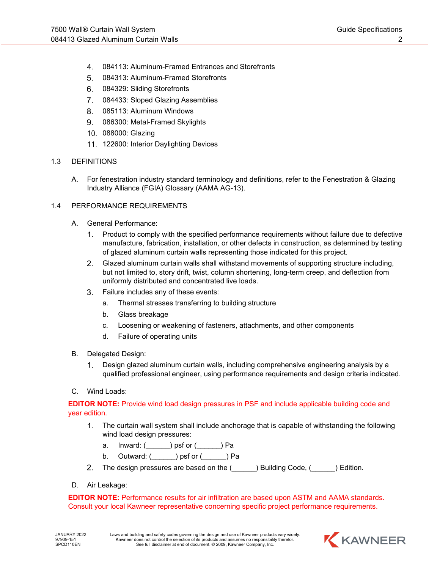- $\overline{4}$ . 084113: Aluminum-Framed Entrances and Storefronts
- 5. 084313: Aluminum-Framed Storefronts
- 084329: Sliding Storefronts 6.
- $7.$ 084433: Sloped Glazing Assemblies
- 085113: Aluminum Windows
- 086300: Metal-Framed Skylights
- 088000: Glazing
- 11. 122600: Interior Daylighting Devices

#### 1.3 DEFINITIONS

A. For fenestration industry standard terminology and definitions, refer to the Fenestration & Glazing Industry Alliance (FGIA) Glossary (AAMA AG-13).

### 1.4 PERFORMANCE REQUIREMENTS

- A. General Performance:
	- $1.$ Product to comply with the specified performance requirements without failure due to defective manufacture, fabrication, installation, or other defects in construction, as determined by testing of glazed aluminum curtain walls representing those indicated for this project.
	- Glazed aluminum curtain walls shall withstand movements of supporting structure including, but not limited to, story drift, twist, column shortening, long-term creep, and deflection from uniformly distributed and concentrated live loads.
	- Failure includes any of these events: 3.
		- a. Thermal stresses transferring to building structure
		- b. Glass breakage
		- c. Loosening or weakening of fasteners, attachments, and other components
		- d. Failure of operating units
- B. Delegated Design:
	- Design glazed aluminum curtain walls, including comprehensive engineering analysis by a  $1.$ qualified professional engineer, using performance requirements and design criteria indicated.
- C. Wind Loads:

**EDITOR NOTE:** Provide wind load design pressures in PSF and include applicable building code and year edition.

- The curtain wall system shall include anchorage that is capable of withstanding the following  $1<sub>1</sub>$ wind load design pressures:
	- a. Inward: (\_\_\_\_\_\_) psf or (\_\_\_\_\_\_) Pa
	- b. Outward:  $($  ) psf or  $($  ) Pa
- The design pressures are based on the (  $\Box$  ) Building Code, (  $\Box$  ) Edition.  $2<sub>1</sub>$
- D. Air Leakage:

**EDITOR NOTE:** Performance results for air infiltration are based upon ASTM and AAMA standards. Consult your local Kawneer representative concerning specific project performance requirements.

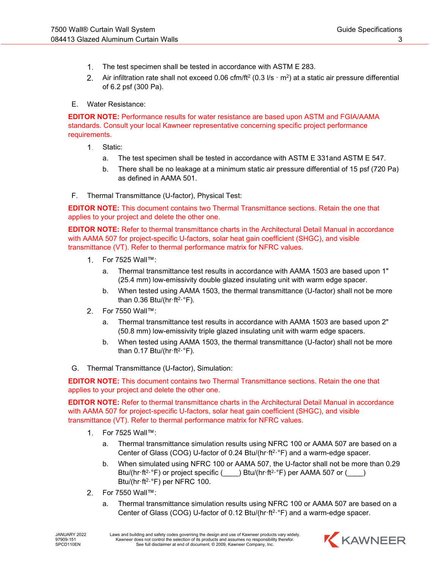- The test specimen shall be tested in accordance with ASTM E 283.
- $2.$ Air infiltration rate shall not exceed 0.06 cfm/ft<sup>2</sup> (0.3 l/s  $\cdot$  m<sup>2</sup>) at a static air pressure differential of 6.2 psf (300 Pa).

### E. Water Resistance:

**EDITOR NOTE:** Performance results for water resistance are based upon ASTM and FGIA/AAMA standards. Consult your local Kawneer representative concerning specific project performance requirements.

- $1.$ Static:
	- a. The test specimen shall be tested in accordance with ASTM E 331and ASTM E 547.
	- b. There shall be no leakage at a minimum static air pressure differential of 15 psf (720 Pa) as defined in AAMA 501.
- F. Thermal Transmittance (U-factor), Physical Test:

**EDITOR NOTE:** This document contains two Thermal Transmittance sections. Retain the one that applies to your project and delete the other one.

**EDITOR NOTE:** Refer to thermal transmittance charts in the Architectural Detail Manual in accordance with AAMA 507 for project-specific U-factors, solar heat gain coefficient (SHGC), and visible transmittance (VT). Refer to thermal performance matrix for NFRC values.

- For 7525 Wall™:
	- a. Thermal transmittance test results in accordance with AAMA 1503 are based upon 1" (25.4 mm) low-emissivity double glazed insulating unit with warm edge spacer.
	- b. When tested using AAMA 1503, the thermal transmittance (U-factor) shall not be more than 0.36 Btu/(hr $\cdot$ ft<sup>2</sup> $\cdot$ °F).
- $2.$ For 7550 Wall™:
	- a. Thermal transmittance test results in accordance with AAMA 1503 are based upon 2" (50.8 mm) low-emissivity triple glazed insulating unit with warm edge spacers.
	- b. When tested using AAMA 1503, the thermal transmittance (U-factor) shall not be more than 0.17 Btu/(hr $\cdot$ ft<sup>2</sup> $\cdot$ °F).
- G. Thermal Transmittance (U-factor), Simulation:

**EDITOR NOTE:** This document contains two Thermal Transmittance sections. Retain the one that applies to your project and delete the other one.

**EDITOR NOTE:** Refer to thermal transmittance charts in the Architectural Detail Manual in accordance with AAMA 507 for project-specific U-factors, solar heat gain coefficient (SHGC), and visible transmittance (VT). Refer to thermal performance matrix for NFRC values.

- $1_{-}$ For 7525 Wall™:
	- a. Thermal transmittance simulation results using NFRC 100 or AAMA 507 are based on a Center of Glass (COG) U-factor of 0.24 Btu/(hr $\cdot$  ft<sup>2</sup> $\cdot$ °F) and a warm-edge spacer.
	- b. When simulated using NFRC 100 or AAMA 507, the U-factor shall not be more than 0.29 Btu/(hr·ft<sup>2</sup>·°F) or project specific (\_\_\_\_) Btu/(hr·ft<sup>2</sup>·°F) per AAMA 507 or (\_\_\_\_) Btu/(hr·ft<sup>2</sup>·°F) per NFRC 100.
- For 7550 Wall™:  $2.$ 
	- a. Thermal transmittance simulation results using NFRC 100 or AAMA 507 are based on a Center of Glass (COG) U-factor of 0.12 Btu/(hr·ft2·°F) and a warm-edge spacer.

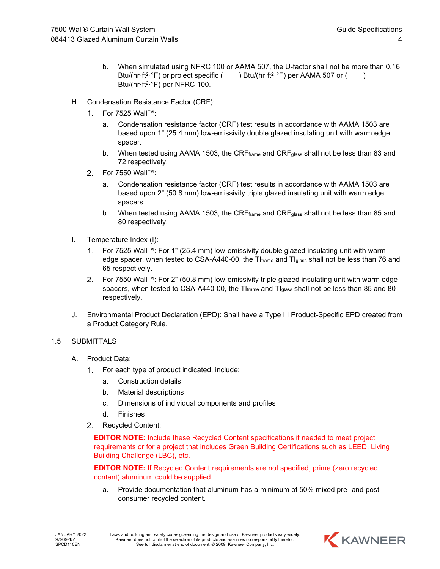- b. When simulated using NFRC 100 or AAMA 507, the U-factor shall not be more than 0.16 Btu/(hr·ft<sup>2</sup>·°F) or project specific ( $\blacksquare$ ) Btu/(hr·ft<sup>2·°</sup>F) per AAMA 507 or ( Btu/(hr·ft<sup>2</sup>·°F) per NFRC 100.
- H. Condensation Resistance Factor (CRF):
	- For 7525 Wall™:
		- a. Condensation resistance factor (CRF) test results in accordance with AAMA 1503 are based upon 1" (25.4 mm) low-emissivity double glazed insulating unit with warm edge spacer.
		- b. When tested using AAMA 1503, the CRF $_{\text{frame}}$  and CRF $_{\text{glass}}$  shall not be less than 83 and 72 respectively.
	- $2.$ For 7550 Wall™:
		- a. Condensation resistance factor (CRF) test results in accordance with AAMA 1503 are based upon 2" (50.8 mm) low-emissivity triple glazed insulating unit with warm edge spacers.
		- b. When tested using AAMA 1503, the CRF $_{\text{frame}}$  and CRF $_{\text{glass}}$  shall not be less than 85 and 80 respectively.
- I. Temperature Index (I):
	- For 7525 Wall™: For 1" (25.4 mm) low-emissivity double glazed insulating unit with warm  $1_{-}$ edge spacer, when tested to CSA-A440-00, the  $TI<sub>frame</sub>$  and  $TI<sub>glass</sub>$  shall not be less than 76 and 65 respectively.
	- For 7550 Wall™: For 2" (50.8 mm) low-emissivity triple glazed insulating unit with warm edge spacers, when tested to CSA-A440-00, the  $TI_{frame}$  and  $TI_{glass}$  shall not be less than 85 and 80 respectively.
- J. Environmental Product Declaration (EPD): Shall have a Type III Product-Specific EPD created from a Product Category Rule.

## 1.5 SUBMITTALS

- A. Product Data:
	- For each type of product indicated, include: 1.
		- a. Construction details
		- b. Material descriptions
		- c. Dimensions of individual components and profiles
		- d. Finishes
	- 2. Recycled Content:

**EDITOR NOTE:** Include these Recycled Content specifications if needed to meet project requirements or for a project that includes Green Building Certifications such as LEED, Living Building Challenge (LBC), etc.

**EDITOR NOTE:** If Recycled Content requirements are not specified, prime (zero recycled content) aluminum could be supplied.

a. Provide documentation that aluminum has a minimum of 50% mixed pre- and postconsumer recycled content.

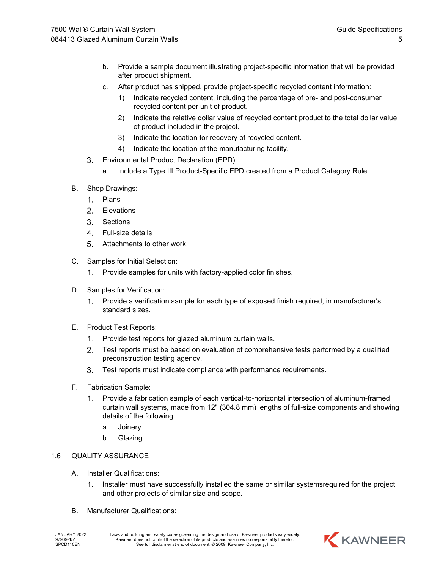- b. Provide a sample document illustrating project-specific information that will be provided after product shipment.
- c. After product has shipped, provide project-specific recycled content information:
	- 1) Indicate recycled content, including the percentage of pre- and post-consumer recycled content per unit of product.
	- 2) Indicate the relative dollar value of recycled content product to the total dollar value of product included in the project.
	- 3) Indicate the location for recovery of recycled content.
	- 4) Indicate the location of the manufacturing facility.
- Environmental Product Declaration (EPD):  $3<sub>1</sub>$ 
	- a. Include a Type III Product-Specific EPD created from a Product Category Rule.
- B. Shop Drawings:
	- $1<sup>1</sup>$ Plans
	- 2. Elevations
	- $3<sub>1</sub>$ Sections
	- 4. Full-size details
	- $5<sub>1</sub>$ Attachments to other work
- C. Samples for Initial Selection:
	- $1.$ Provide samples for units with factory-applied color finishes.
- D. Samples for Verification:
	- Provide a verification sample for each type of exposed finish required, in manufacturer's  $1.$ standard sizes.
- E. Product Test Reports:
	- 1. Provide test reports for glazed aluminum curtain walls.
	- Test reports must be based on evaluation of comprehensive tests performed by a qualified  $2.$ preconstruction testing agency.
	- 3. Test reports must indicate compliance with performance requirements.
- F. Fabrication Sample:
	- Provide a fabrication sample of each vertical-to-horizontal intersection of aluminum-framed  $1.$ curtain wall systems, made from 12" (304.8 mm) lengths of full-size components and showing details of the following:
		- a. Joinery
		- b. Glazing

# 1.6 QUALITY ASSURANCE

- A. Installer Qualifications:
	- $1.$ Installer must have successfully installed the same or similar systemsrequired for the project and other projects of similar size and scope.
- B. Manufacturer Qualifications:

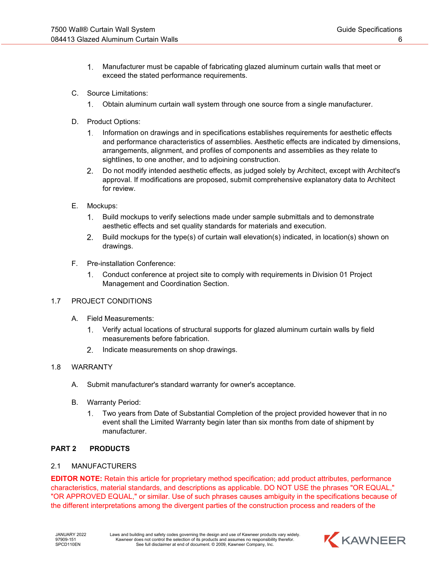- $1<sub>1</sub>$ Manufacturer must be capable of fabricating glazed aluminum curtain walls that meet or exceed the stated performance requirements.
- C. Source Limitations:
	- $1.$ Obtain aluminum curtain wall system through one source from a single manufacturer.
- D. Product Options:
	- Information on drawings and in specifications establishes requirements for aesthetic effects  $1.$ and performance characteristics of assemblies. Aesthetic effects are indicated by dimensions, arrangements, alignment, and profiles of components and assemblies as they relate to sightlines, to one another, and to adjoining construction.
	- Do not modify intended aesthetic effects, as judged solely by Architect, except with Architect's  $2.$ approval. If modifications are proposed, submit comprehensive explanatory data to Architect for review.
- E. Mockups:
	- $\mathbf{1}$ . Build mockups to verify selections made under sample submittals and to demonstrate aesthetic effects and set quality standards for materials and execution.
	- $2.$ Build mockups for the type(s) of curtain wall elevation(s) indicated, in location(s) shown on drawings.
- F. Pre-installation Conference:
	- $\mathbf{1}$ . Conduct conference at project site to comply with requirements in Division 01 Project Management and Coordination Section.

## 1.7 PROJECT CONDITIONS

- A. Field Measurements:
	- $1<sup>1</sup>$ Verify actual locations of structural supports for glazed aluminum curtain walls by field measurements before fabrication.
	- $2.$ Indicate measurements on shop drawings.

## 1.8 WARRANTY

- A. Submit manufacturer's standard warranty for owner's acceptance.
- B. Warranty Period:
	- $1.$ Two years from Date of Substantial Completion of the project provided however that in no event shall the Limited Warranty begin later than six months from date of shipment by manufacturer.

## **PART 2 PRODUCTS**

#### 2.1 MANUFACTURERS

**EDITOR NOTE:** Retain this article for proprietary method specification; add product attributes, performance characteristics, material standards, and descriptions as applicable. DO NOT USE the phrases "OR EQUAL," "OR APPROVED EQUAL," or similar. Use of such phrases causes ambiguity in the specifications because of the different interpretations among the divergent parties of the construction process and readers of the

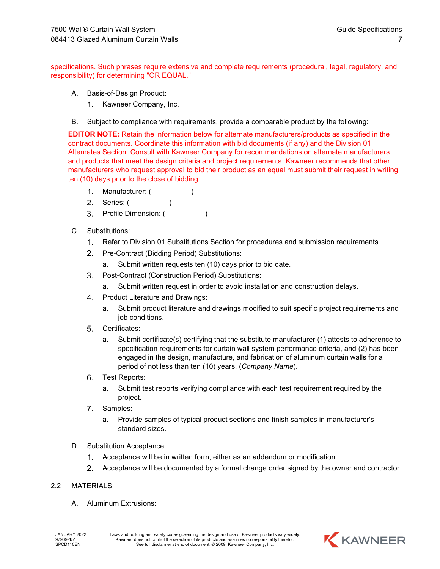specifications. Such phrases require extensive and complete requirements (procedural, legal, regulatory, and responsibility) for determining "OR EQUAL."

- A. Basis-of-Design Product:
	- $1.$ Kawneer Company, Inc.
- B. Subject to compliance with requirements, provide a comparable product by the following:

**EDITOR NOTE:** Retain the information below for alternate manufacturers/products as specified in the contract documents. Coordinate this information with bid documents (if any) and the Division 01 Alternates Section. Consult with Kawneer Company for recommendations on alternate manufacturers and products that meet the design criteria and project requirements. Kawneer recommends that other manufacturers who request approval to bid their product as an equal must submit their request in writing ten (10) days prior to the close of bidding.

- $1.$ Manufacturer: (  $\qquad \qquad$ )
- 2. Series: (
- 3. Profile Dimension: ( \_\_\_\_\_\_\_\_\_)
- C. Substitutions:
	- $1.$ Refer to Division 01 Substitutions Section for procedures and submission requirements.
	- $2.$ Pre-Contract (Bidding Period) Substitutions:
		- a. Submit written requests ten (10) days prior to bid date.
	- Post-Contract (Construction Period) Substitutions:
		- a. Submit written request in order to avoid installation and construction delays.
	- 4. Product Literature and Drawings:
		- a. Submit product literature and drawings modified to suit specific project requirements and job conditions.
	- Certificates: 5.
		- a. Submit certificate(s) certifying that the substitute manufacturer (1) attests to adherence to specification requirements for curtain wall system performance criteria, and (2) has been engaged in the design, manufacture, and fabrication of aluminum curtain walls for a period of not less than ten (10) years. (*Company Name*).
	- 6. Test Reports:
		- a. Submit test reports verifying compliance with each test requirement required by the project.
	- $7.$ Samples:
		- a. Provide samples of typical product sections and finish samples in manufacturer's standard sizes.
- D. Substitution Acceptance:
	- $1.$ Acceptance will be in written form, either as an addendum or modification.
	- $2.$ Acceptance will be documented by a formal change order signed by the owner and contractor.

## 2.2 MATERIALS

A. Aluminum Extrusions:

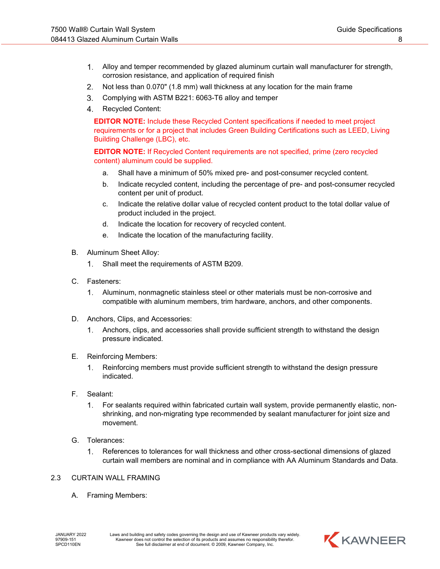- $1<sub>1</sub>$ Alloy and temper recommended by glazed aluminum curtain wall manufacturer for strength, corrosion resistance, and application of required finish
- $2.$ Not less than 0.070" (1.8 mm) wall thickness at any location for the main frame
- $3.$ Complying with ASTM B221: 6063-T6 alloy and temper
- 4. Recycled Content:

**EDITOR NOTE:** Include these Recycled Content specifications if needed to meet project requirements or for a project that includes Green Building Certifications such as LEED, Living Building Challenge (LBC), etc.

**EDITOR NOTE:** If Recycled Content requirements are not specified, prime (zero recycled content) aluminum could be supplied.

- a. Shall have a minimum of 50% mixed pre- and post-consumer recycled content.
- b. Indicate recycled content, including the percentage of pre- and post-consumer recycled content per unit of product.
- c. Indicate the relative dollar value of recycled content product to the total dollar value of product included in the project.
- d. Indicate the location for recovery of recycled content.
- e. Indicate the location of the manufacturing facility.
- B. Aluminum Sheet Alloy:
	- $\mathbf{1}$ . Shall meet the requirements of ASTM B209.
- C. Fasteners:
	- Aluminum, nonmagnetic stainless steel or other materials must be non-corrosive and  $1<sub>1</sub>$ compatible with aluminum members, trim hardware, anchors, and other components.
- D. Anchors, Clips, and Accessories:
	- $1.$ Anchors, clips, and accessories shall provide sufficient strength to withstand the design pressure indicated.
- E. Reinforcing Members:
	- $1<sub>1</sub>$ Reinforcing members must provide sufficient strength to withstand the design pressure indicated.
- F. Sealant:
	- $1<sub>1</sub>$ For sealants required within fabricated curtain wall system, provide permanently elastic, nonshrinking, and non-migrating type recommended by sealant manufacturer for joint size and movement.
- G. Tolerances:
	- $1.$ References to tolerances for wall thickness and other cross-sectional dimensions of glazed curtain wall members are nominal and in compliance with AA Aluminum Standards and Data.
- 2.3 CURTAIN WALL FRAMING
	- A. Framing Members:

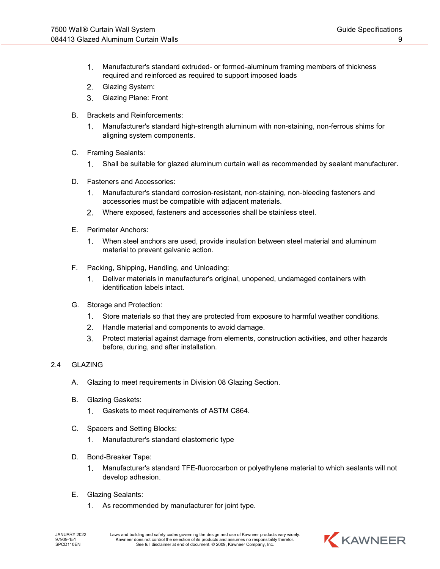- $\mathbf{1}$ . Manufacturer's standard extruded- or formed-aluminum framing members of thickness required and reinforced as required to support imposed loads
- $2.$ Glazing System:
- Glazing Plane: Front  $3<sub>1</sub>$
- B. Brackets and Reinforcements:
	- Manufacturer's standard high-strength aluminum with non-staining, non-ferrous shims for  $1.$ aligning system components.
- C. Framing Sealants:
	- $1.$ Shall be suitable for glazed aluminum curtain wall as recommended by sealant manufacturer.
- D. Fasteners and Accessories:
	- $1.$ Manufacturer's standard corrosion-resistant, non-staining, non-bleeding fasteners and accessories must be compatible with adjacent materials.
	- $2.$ Where exposed, fasteners and accessories shall be stainless steel.
- E. Perimeter Anchors:
	- When steel anchors are used, provide insulation between steel material and aluminum  $1.$ material to prevent galvanic action.
- F. Packing, Shipping, Handling, and Unloading:
	- $1.$ Deliver materials in manufacturer's original, unopened, undamaged containers with identification labels intact.
- G. Storage and Protection:
	- $1.$ Store materials so that they are protected from exposure to harmful weather conditions.
	- $2.$ Handle material and components to avoid damage.
	- 3. Protect material against damage from elements, construction activities, and other hazards before, during, and after installation.

## 2.4 GLAZING

- A. Glazing to meet requirements in Division 08 Glazing Section.
- B. Glazing Gaskets:
	- Gaskets to meet requirements of ASTM C864.  $\mathbf{1}$ .
- C. Spacers and Setting Blocks:
	- $1.$ Manufacturer's standard elastomeric type
- D. Bond-Breaker Tape:
	- Manufacturer's standard TFE-fluorocarbon or polyethylene material to which sealants will not  $1_{\cdot}$ develop adhesion.
- E. Glazing Sealants:
	- $1.$ As recommended by manufacturer for joint type.

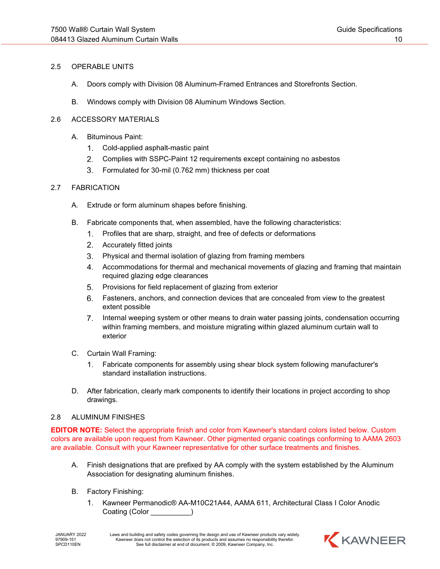### 2.5 OPERABLE UNITS

- A. Doors comply with Division 08 Aluminum-Framed Entrances and Storefronts Section.
- B. Windows comply with Division 08 Aluminum Windows Section.

#### 2.6 ACCESSORY MATERIALS

- A. Bituminous Paint:
	- $1<sub>1</sub>$ Cold-applied asphalt-mastic paint
	- $2.$ Complies with SSPC-Paint 12 requirements except containing no asbestos
	- $3.$ Formulated for 30-mil (0.762 mm) thickness per coat

#### 2.7 FABRICATION

- A. Extrude or form aluminum shapes before finishing.
- B. Fabricate components that, when assembled, have the following characteristics:
	- Profiles that are sharp, straight, and free of defects or deformations
	- 2. Accurately fitted joints
	- $3.$ Physical and thermal isolation of glazing from framing members
	- 4. Accommodations for thermal and mechanical movements of glazing and framing that maintain required glazing edge clearances
	- Provisions for field replacement of glazing from exterior  $5.$
	- 6. Fasteners, anchors, and connection devices that are concealed from view to the greatest extent possible
	- $7.$ Internal weeping system or other means to drain water passing joints, condensation occurring within framing members, and moisture migrating within glazed aluminum curtain wall to exterior
- C. Curtain Wall Framing:
	- $1.$ Fabricate components for assembly using shear block system following manufacturer's standard installation instructions.
- D. After fabrication, clearly mark components to identify their locations in project according to shop drawings.

#### 2.8 ALUMINUM FINISHES

**EDITOR NOTE:** Select the appropriate finish and color from Kawneer's standard colors listed below. Custom colors are available upon request from Kawneer. Other pigmented organic coatings conforming to AAMA 2603 are available. Consult with your Kawneer representative for other surface treatments and finishes.

- A. Finish designations that are prefixed by AA comply with the system established by the Aluminum Association for designating aluminum finishes.
- B. Factory Finishing:
	- $1_{\cdot}$ Kawneer Permanodic® AA-M10C21A44, AAMA 611, Architectural Class I Color Anodic Coating (Color \_\_\_\_\_\_\_\_\_\_)

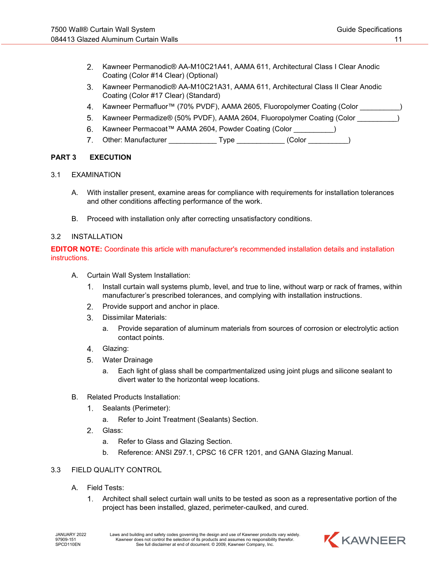- $2<sub>1</sub>$ Kawneer Permanodic® AA-M10C21A41, AAMA 611, Architectural Class I Clear Anodic Coating (Color #14 Clear) (Optional)
- $3.$ Kawneer Permanodic® AA-M10C21A31, AAMA 611, Architectural Class II Clear Anodic Coating (Color #17 Clear) (Standard)
- Kawneer Permafluor™ (70% PVDF), AAMA 2605, Fluoropolymer Coating (Color \_\_\_\_ 4.
- 5. Kawneer Permadize® (50% PVDF), AAMA 2604, Fluoropolymer Coating (Color \_\_\_\_\_\_\_\_\_\_)
- Kawneer Permacoat™ AAMA 2604, Powder Coating (Color \_\_\_\_\_\_\_\_\_\_) 6.
- $7<sup>1</sup>$ Other: Manufacturer Type (Color )

## **PART 3 EXECUTION**

- 3.1 EXAMINATION
	- A. With installer present, examine areas for compliance with requirements for installation tolerances and other conditions affecting performance of the work.
	- B. Proceed with installation only after correcting unsatisfactory conditions.

### 3.2 INSTALLATION

**EDITOR NOTE:** Coordinate this article with manufacturer's recommended installation details and installation instructions.

- A. Curtain Wall System Installation:
	- $1<sup>1</sup>$ Install curtain wall systems plumb, level, and true to line, without warp or rack of frames, within manufacturer's prescribed tolerances, and complying with installation instructions.
	- 2. Provide support and anchor in place.
	- Dissimilar Materials:
		- a. Provide separation of aluminum materials from sources of corrosion or electrolytic action contact points.
	- Glazing:
	- 5. Water Drainage
		- a. Each light of glass shall be compartmentalized using joint plugs and silicone sealant to divert water to the horizontal weep locations.
- B. Related Products Installation:
	- $1<sub>1</sub>$ Sealants (Perimeter):
		- a. Refer to Joint Treatment (Sealants) Section.
	- $2.$ Glass:
		- a. Refer to Glass and Glazing Section.
		- b. Reference: ANSI Z97.1, CPSC 16 CFR 1201, and GANA Glazing Manual.

## 3.3 FIELD QUALITY CONTROL

- A. Field Tests:
	- $1.$ Architect shall select curtain wall units to be tested as soon as a representative portion of the project has been installed, glazed, perimeter-caulked, and cured.

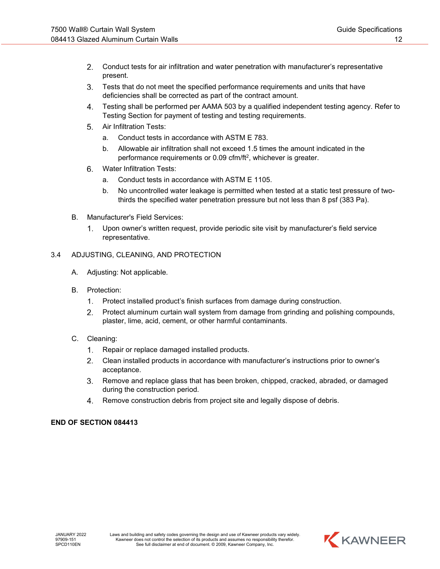- $2.$ Conduct tests for air infiltration and water penetration with manufacturer's representative present.
- $3.$ Tests that do not meet the specified performance requirements and units that have deficiencies shall be corrected as part of the contract amount.
- 4. Testing shall be performed per AAMA 503 by a qualified independent testing agency. Refer to Testing Section for payment of testing and testing requirements.
- 5. Air Infiltration Tests:
	- a. Conduct tests in accordance with ASTM E 783.
	- b. Allowable air infiltration shall not exceed 1.5 times the amount indicated in the performance requirements or 0.09 cfm/ft2, whichever is greater.
- 6. Water Infiltration Tests:
	- a. Conduct tests in accordance with ASTM E 1105.
	- b. No uncontrolled water leakage is permitted when tested at a static test pressure of twothirds the specified water penetration pressure but not less than 8 psf (383 Pa).
- B. Manufacturer's Field Services:
	- $1.$ Upon owner's written request, provide periodic site visit by manufacturer's field service representative.

## 3.4 ADJUSTING, CLEANING, AND PROTECTION

- A. Adjusting: Not applicable.
- B. Protection:
	- $1.$ Protect installed product's finish surfaces from damage during construction.
	- $2.$ Protect aluminum curtain wall system from damage from grinding and polishing compounds, plaster, lime, acid, cement, or other harmful contaminants.
- C. Cleaning:
	- Repair or replace damaged installed products.  $1.$
	- Clean installed products in accordance with manufacturer's instructions prior to owner's acceptance.
	- Remove and replace glass that has been broken, chipped, cracked, abraded, or damaged  $3<sub>1</sub>$ during the construction period.
	- $\mathbf{4}$ . Remove construction debris from project site and legally dispose of debris.

# **END OF SECTION 084413**